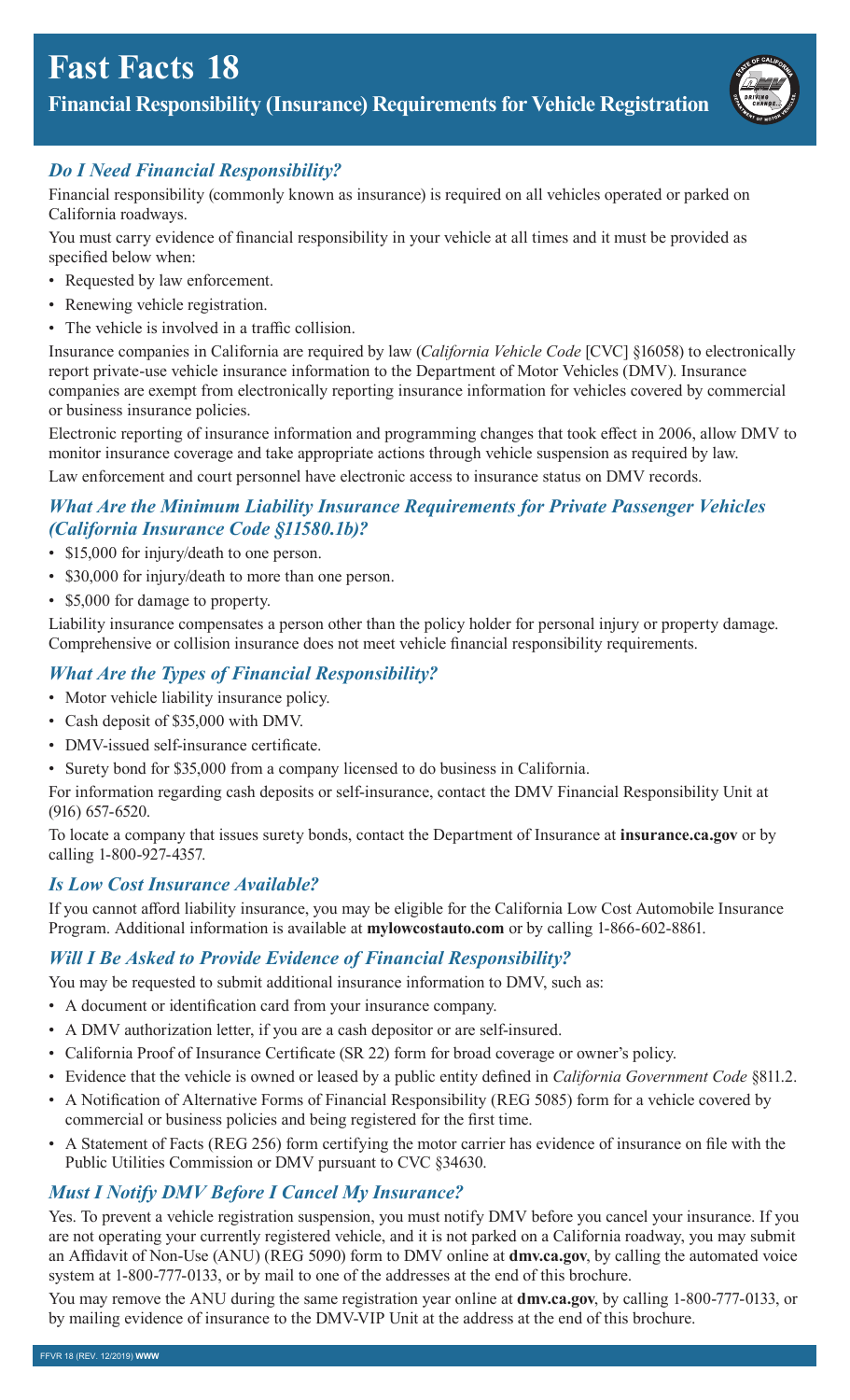# **Fast Facts 18**

**Financial Responsibility (Insurance) Requirements for Vehicle Registration** 



## *Do I Need Financial Responsibility?*

Financial responsibility (commonly known as insurance) is required on all vehicles operated or parked on California roadways.

You must carry evidence of financial responsibility in your vehicle at all times and it must be provided as specified below when:

- Requested by law enforcement.
- Renewing vehicle registration.
- The vehicle is involved in a traffic collision.

Insurance companies in California are required by law (*California Vehicle Code* [CVC] §16058) to electronically report private-use vehicle insurance information to the Department of Motor Vehicles (DMV). Insurance companies are exempt from electronically reporting insurance information for vehicles covered by commercial or business insurance policies.

Electronic reporting of insurance information and programming changes that took effect in 2006, allow DMV to monitor insurance coverage and take appropriate actions through vehicle suspension as required by law.

Law enforcement and court personnel have electronic access to insurance status on DMV records.

#### *What Are the Minimum Liability Insurance Requirements for Private Passenger Vehicles (California Insurance Code [§11580.1b\)](https://11580.1b)?*

- \$15,000 for injury/death to one person.
- \$30,000 for injury/death to more than one person.
- \$5,000 for damage to property.

Liability insurance compensates a person other than the policy holder for personal injury or property damage. Comprehensive or collision insurance does not meet vehicle financial responsibility requirements.

## *What Are the Types of Financial Responsibility?*

- Motor vehicle liability insurance policy.
- Cash deposit of \$35,000 with DMV.
- DMV-issued self-insurance certificate.
- Surety bond for \$35,000 from a company licensed to do business in California.

For information regarding cash deposits or self-insurance, contact the DMV Financial Responsibility Unit at (916) 657-6520.

To locate a company that issues surety bonds, contact the Department of Insurance at **[insurance.ca.gov](https://insurance.ca.gov)** or by calling 1-800-927-4357.

## *Is Low Cost Insurance Available?*

If you cannot afford liability insurance, you may be eligible for the California Low Cost Automobile Insurance Program. Additional information is available at **[mylowcostauto.com](https://mylowcostauto.com)** or by calling 1-866-602-8861.

## *Will I Be Asked to Provide Evidence of Financial Responsibility?*

You may be requested to submit additional insurance information to DMV, such as:

- A document or identification card from your insurance company.
- A DMV authorization letter, if you are a cash depositor or are self-insured.
- California Proof of Insurance Certificate (SR 22) form for broad coverage or owner's policy.
- Evidence that the vehicle is owned or leased by a public entity defined in *California Government Code* §811.2.
- A Notification of Alternative Forms of Financial Responsibility (REG 5085) form for a vehicle covered by commercial or business policies and being registered for the first time.
- A Statement of Facts (REG 256) form certifying the motor carrier has evidence of insurance on file with the Public Utilities Commission or DMV pursuant to CVC §34630.

## *Must I Notify DMV Before I Cancel My Insurance?*

Yes. To prevent a vehicle registration suspension, you must notify DMV before you cancel your insurance. If you are not operating your currently registered vehicle, and it is not parked on a California roadway, you may submit an Affidavit of Non-Use (ANU) (REG 5090) form to DMV online at **[dmv.ca.gov](https://dmv.ca.gov)**, by calling the automated voice system at 1-800-777-0133, or by mail to one of the addresses at the end of this brochure.

You may remove the ANU during the same registration year online at **[dmv.ca.gov](https://dmv.ca.gov)**, by calling 1-800-777-0133, or by mailing evidence of insurance to the DMV-VIP Unit at the address at the end of this brochure.